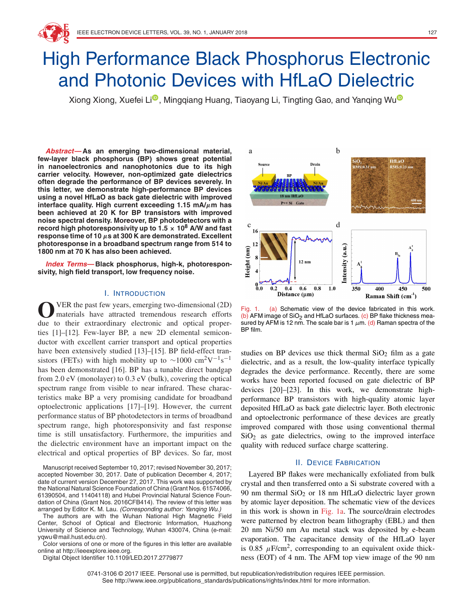# High Performance Black Phosphorus Electronic and Photonic Devices with HfLaO Dielectric

Xiong Xiong, Xuefei Li<sup>o</sup>, Mingqiang Huang, Tiaoyang Li, Tingting Gao, and Yanqing Wu<sup>o</sup>

**Abstract—As an emerging two-dimensional material, few-layer black phosphorus (BP) shows great potential in nanoelectronics and nanophotonics due to its high carrier velocity. However, non-optimized gate dielectrics often degrade the performance of BP devices severely. In this letter, we demonstrate high-performance BP devices using a novel HfLaO as back gate dielectric with improved interface quality. High current exceeding 1.15 mA/***µ***m has been achieved at 20 K for BP transistors with improved noise spectral density. Moreover, BP photodetectors with a record high photoresponsivity up to 1.5 <sup>×</sup> <sup>10</sup><sup>8</sup> A/W and fast response time of 10** *µ***s at 300 K are demonstrated. Excellent photoresponse in a broadband spectrum range from 514 to 1800 nm at 70 K has also been achieved.**

**Index Terms—Black phosphorus, high-k, photoresponsivity, high field transport, low frequency noise.**

# I. INTRODUCTION

O VER the past few years, emerging two-dimensional (2D)<br>materials have attracted tremendous research efforts due to their extraordinary electronic and optical properties [1]–[12]. Few-layer BP, a new 2D elemental semiconductor with excellent carrier transport and optical properties have been extensively studied [13]–[15]. BP field-effect transistors (FETs) with high mobility up to ~1000 cm<sup>2</sup>V<sup>-1</sup>s<sup>-1</sup> has been demonstrated [16]. BP has a tunable direct bandgap from 2.0 eV (monolayer) to 0.3 eV (bulk), covering the optical spectrum range from visible to near infrared. These characteristics make BP a very promising candidate for broadband optoelectronic applications [17]–[19]. However, the current performance status of BP photodetectors in terms of broadband spectrum range, high photoresponsivity and fast response time is still unsatisfactory. Furthermore, the impurities and the dielectric environment have an important impact on the electrical and optical properties of BP devices. So far, most

Manuscript received September 10, 2017; revised November 30, 2017; accepted November 30, 2017. Date of publication December 4, 2017; date of current version December 27, 2017. This work was supported by the National Natural Science Foundation of China (Grant Nos. 61574066, 61390504, and 11404118) and Hubei Provincial Natural Science Foundation of China (Grant Nos. 2016CFB414). The review of this letter was arranged by Editor K. M. Lau. (Corresponding author: Yanqing Wu.)

The authors are with the Wuhan National High Magnetic Field Center, School of Optical and Electronic Information, Huazhong University of Science and Technology, Wuhan 430074, China (e-mail: yqwu@mail.hust.edu.cn).

Color versions of one or more of the figures in this letter are available online at http://ieeexplore.ieee.org.

Digital Object Identifier 10.1109/LED.2017.2779877

a **HfLaO**  $\sqrt{15:0.31}$  nn 18 nm HfLaO  $P++Si$  Gate  $\mathbf d$  $\mathbf c$ 16 Intensity (a.u.) Height (nm)  $12 \text{ nm}$  $0.0$ 350  $0.2$  $0.4$  $0.6$  $0.8$  $1.0$ 400 450 500 Distance (µm) Raman Shift  $(cm<sup>-1</sup>)$ 

Fig. 1. (a) Schematic view of the device fabricated in this work. (b) AFM image of SiO<sub>2</sub> and HfLaO surfaces. (c) BP flake thickness measured by AFM is 12 nm. The scale bar is 1  $\mu$ m. (d) Raman spectra of the BP film.

studies on BP devices use thick thermal  $SiO<sub>2</sub>$  film as a gate dielectric, and as a result, the low-quality interface typically degrades the device performance. Recently, there are some works have been reported focused on gate dielectric of BP devices [20]–[23]. In this work, we demonstrate highperformance BP transistors with high-quality atomic layer deposited HfLaO as back gate dielectric layer. Both electronic and optoelectronic performance of these devices are greatly improved compared with those using conventional thermal  $SiO<sub>2</sub>$  as gate dielectrics, owing to the improved interface quality with reduced surface charge scattering.

# II. DEVICE FABRICATION

Layered BP flakes were mechanically exfoliated from bulk crystal and then transferred onto a Si substrate covered with a 90 nm thermal  $SiO<sub>2</sub>$  or 18 nm HfLaO dielectric layer grown by atomic layer deposition. The schematic view of the devices in this work is shown in Fig. 1a. The source/drain electrodes were patterned by electron beam lithography (EBL) and then 20 nm Ni/50 nm Au metal stack was deposited by e-beam evaporation. The capacitance density of the HfLaO layer is 0.85  $\mu$ F/cm<sup>2</sup>, corresponding to an equivalent oxide thickness (EOT) of 4 nm. The AFM top view image of the 90 nm

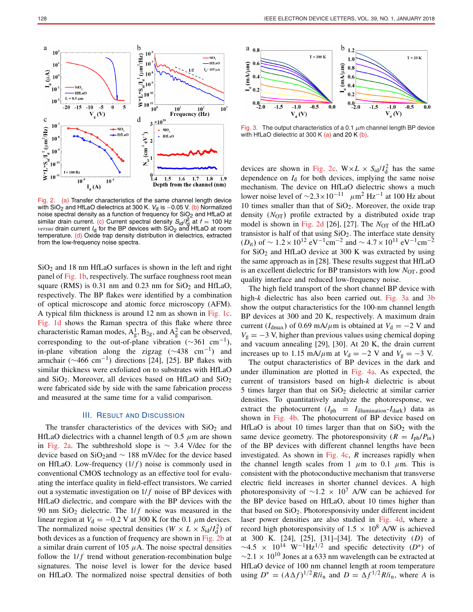

Fig. 2. (a) Transfer characteristics of the same channel length device with SiO<sub>2</sub> and HfLaO dielectrics at 300 K.  $V_d$  is  $-0.05$  V. (b) Normalized noise spectral density as a function of frequency for  $SiO<sub>2</sub>$  and HfLaO at similar drain current. (c) Current spectral density  $S_{\text{id}}/I_{\text{gl}}^2$  at  $f = 100 \text{ Hz}$ *versus* drain current I<sub>d</sub> for the BP devices with SiO<sub>2</sub> and HfLaO at room temperature. (d) Oxide trap density distribution in dielectrics, extracted from the low-frequency noise spectra.

 $SiO<sub>2</sub>$  and 18 nm HfLaO surfaces is shown in the left and right panel of Fig. 1b, respectively. The surface roughness root mean square (RMS) is 0.31 nm and 0.23 nm for  $SiO<sub>2</sub>$  and HfLaO, respectively. The BP flakes were identified by a combination of optical microscope and atomic force microscopy (AFM). A typical film thickness is around 12 nm as shown in Fig. 1c. Fig. 1d shows the Raman spectra of this flake where three characteristic Raman modes,  $A_g^1$ ,  $B_{2g}$ , and  $A_g^2$  can be observed, corresponding to the out-of-plane vibration ( $\sim$ 361 cm<sup>-1</sup>), in-plane vibration along the zigzag ( $\sim$ 438 cm<sup>-1</sup>) and armchair ( $\sim$ 466 cm<sup>-1</sup>) directions [24], [25]. BP flakes with similar thickness were exfoliated on to substrates with HfLaO and  $SiO<sub>2</sub>$ . Moreover, all devices based on HfLaO and  $SiO<sub>2</sub>$ were fabricated side by side with the same fabrication process and measured at the same time for a valid comparison.

# III. RESULT AND DISCUSSION

The transfer characteristics of the devices with  $SiO<sub>2</sub>$  and HfLaO dielectrics with a channel length of 0.5  $\mu$ m are shown in Fig. 2a. The subthreshold slope is  $\sim$  3.4 V/dec for the device based on SiO<sub>2</sub>and  $\sim$  188 mV/dec for the device based on HfLaO. Low-frequency  $(1/f)$  noise is commonly used in conventional CMOS technology as an effective tool for evaluating the interface quality in field-effect transistors. We carried out a systematic investigation on  $1/f$  noise of BP devices with HfLaO dielectric, and compare with the BP devices with the 90 nm  $SiO<sub>2</sub>$  dielectric. The  $1/f$  noise was measured in the linear region at  $V_d = -0.2$  V at 300 K for the 0.1  $\mu$ m devices. The normalized noise spectral densities ( $W \times L \times S_{\text{id}}/I_d^2$ ) of both devices as a function of frequency are shown in Fig. 2b at a similar drain current of 105  $\mu$ A. The noise spectral densities follow the  $1/f$  trend without generation-recombination bulge signatures. The noise level is lower for the device based on HfLaO. The normalized noise spectral densities of both



Fig. 3. The output characteristics of a 0.1  $\mu$ m channel length BP device with HfLaO dielectric at 300 K (a) and 20 K (b).

devices are shown in Fig. 2c.  $W \times L \times S_{\text{id}}/I_d^2$  has the same dependence on *I*<sup>d</sup> for both devices, implying the same noise mechanism. The device on HfLaO dielectric shows a much lower noise level of  $\sim$ 2.3×10<sup>-11</sup>  $\mu$ m<sup>2</sup> Hz<sup>-1</sup> at 100 Hz about 10 times smaller than that of  $SiO<sub>2</sub>$ . Moreover, the oxide trap density (*N*OT) profile extracted by a distributed oxide trap model is shown in Fig. 2d [26], [27]. The  $N_{OT}$  of the HfLaO transistor is half of that using  $SiO<sub>2</sub>$ . The interface state density (*D*<sub>it</sub>) of ~ 1.2 × 10<sup>12</sup> eV<sup>-1</sup>cm<sup>-2</sup> and ~ 4.7 × 10<sup>11</sup> eV<sup>-1</sup>cm<sup>-2</sup> for SiO2 and HfLaO device at 300 K was extracted by using the same approach as in [28]. These results suggest that HfLaO is an excellent dielectric for BP transistors with low *N*<sub>OT</sub>, good quality interface and reduced low-frequency noise.

The high field transport of the short channel BP device with high-*k* dielectric has also been carried out. Fig. 3a and 3b show the output characteristics for the 100-nm channel length BP devices at 300 and 20 K, respectively. A maximum drain current ( $I_{\text{dmax}}$ ) of 0.69 mA/ $\mu$ m is obtained at  $V_{\text{d}} = -2$  V and  $V<sub>g</sub> = -3$  V, higher than previous values using chemical doping and vacuum annealing [29], [30]. At 20 K, the drain current increases up to 1.15 mA/ $\mu$ m at  $V_d = -2$  V and  $V_g = -3$  V.

The output characteristics of BP devices in the dark and under illumination are plotted in Fig. 4a. As expected, the current of transistors based on high-*k* dielectric is about 5 times larger than that on  $SiO<sub>2</sub>$  dielectric at similar carrier densities. To quantitatively analyze the photoresponse, we extract the photocurrent  $(I_{ph} = I_{\text{illumination}} - I_{\text{dark}})$  data as shown in Fig. 4b. The photocurrent of BP device based on HfLaO is about 10 times larger than that on  $SiO<sub>2</sub>$  with the same device geometry. The photoresponsivity ( $R = I_{ph}/P_{in}$ ) of the BP devices with different channel lengths have been investigated. As shown in Fig. 4c, *R* increases rapidly when the channel length scales from 1  $\mu$ m to 0.1  $\mu$ m. This is consistent with the photoconductive mechanism that transverse electric field increases in shorter channel devices. A high photoresponsivity of  $\sim$ 1.2 × 10<sup>7</sup> A/W can be achieved for the BP device based on HfLaO, about 10 times higher than that based on  $SiO<sub>2</sub>$ . Photoresponsivity under different incident laser power densities are also studied in Fig. 4d, where a record high photoresponsivity of 1.5  $\times$  10<sup>8</sup> A/W is achieved at 300 K. [24], [25], [31]–[34]. The detectivity (*D*) of  $\sim$ 4.5 × 10<sup>14</sup> W<sup>-1</sup>Hz<sup>1/2</sup> and specific detectivity (D<sup>\*</sup>) of  $\sim$ 2.1 × 10<sup>10</sup> Jones at a 633 nm wavelength can be extracted at HfLaO device of 100 nm channel length at room temperature using  $D^* = (A \Delta f)^{1/2} R / i_n$  and  $D = \Delta f^{1/2} R / i_n$ , where *A* is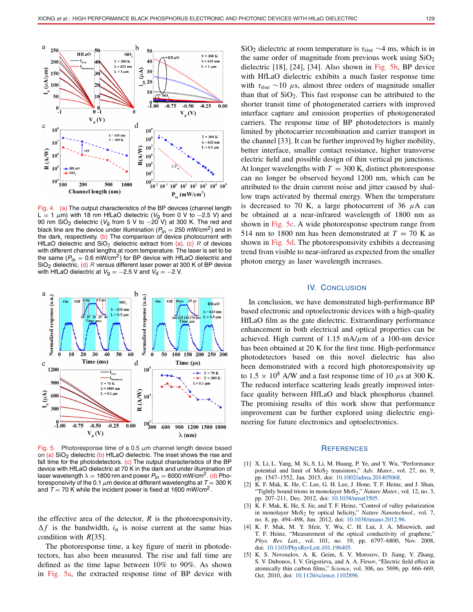

Fig. 4. (a) The output characteristics of the BP devices (channel length L = 1  $\mu$ m) with 18 nm HfLaO dielectric (V<sub>g</sub> from 0 V to -2.5 V) and 90 nm SiO<sub>2</sub> dielectric (V<sub>a</sub> from 5 V to  $-20$  V) at 300 K. The red and black line are the device under illumination ( $P_{\text{in}} = 250 \text{ mW/cm}^2$ ) and in the dark, respectively. (b) The comparison of device photocurrent with HfLaO dielectric and  $SiO<sub>2</sub>$  dielectric extract from (a). (c) R of devices with different channel lengths at room temperature. The laser is set to be the same ( $P_{\text{in}} = 0.6 \text{ mW/cm}^2$ ) for BP device with HfLaO dielectric and  $SiO<sub>2</sub>$  dielectric. (d) R versus different laser power at 300 K of BP device with HfLaO dielectric at  $V_g = -2.5$  V and  $V_d = -2$  V.



Fig. 5. Photoresponse time of a 0.5  $\mu$ m channel length device based on  $(a)$  SiO<sub>2</sub> dielectric  $(b)$  HfLaO dielectric. The inset shows the rise and fall time for the photodetectors.  $(c)$  The output characteristics of the BP device with HfLaO dielectric at 70 K in the dark and under illumination of laser wavelength  $\lambda = 1800$  nm and power  $P_{in} = 6000$  mW/cm<sup>2</sup>. (d) Photoresponsivity of the 0.1  $\mu$ m device at different wavelengths at T = 300 K and  $T = 70$  K while the incident power is fixed at 1600 mW/cm<sup>2</sup>.

the effective area of the detector,  $R$  is the photoresponsivity,  $\Delta f$  is the bandwidth,  $i_n$  is noise current at the same bias condition with *R*[35].

The photoresponse time, a key figure of merit in photodetectors, has also been measured. The rise and fall time are defined as the time lapse between 10% to 90%. As shown in Fig. 5a, the extracted response time of BP device with

SiO<sub>2</sub> dielectric at room temperature is  $\tau_{\text{rise}} \sim 4$  ms, which is in the same order of magnitude from previous work using  $SiO<sub>2</sub>$ dielectric [18], [24], [34]. Also shown in Fig. 5b, BP device with HfLaO dielectric exhibits a much faster response time with  $\tau_{\text{rise}} \sim 10 \mu s$ , almost three orders of magnitude smaller than that of  $SiO<sub>2</sub>$ . This fast response can be attributed to the shorter transit time of photogenerated carriers with improved interface capture and emission properties of photogenerated carriers. The response time of BP photodetectors is mainly limited by photocarrier recombination and carrier transport in the channel [33]. It can be further improved by higher mobility, better interface, smaller contact resistance, higher transverse electric field and possible design of thin vertical pn junctions. At longer wavelengths with  $T = 300$  K, distinct photoresponse can no longer be observed beyond 1200 nm, which can be attributed to the drain current noise and jitter caused by shallow traps activated by thermal energy. When the temperature is decreased to 70 K, a large photocurrent of 36  $\mu$ A can be obtained at a near-infrared wavelength of 1800 nm as shown in Fig. 5c. A wide photoresponse spectrum range from 514 nm to 1800 nm has been demonstrated at  $T = 70$  K as shown in Fig. 5d. The photoresponsivity exhibits a decreasing trend from visible to near-infrared as expected from the smaller photon energy as laser wavelength increases.

### IV. CONCLUSION

In conclusion, we have demonstrated high-performance BP based electronic and optoelectronic devices with a high-quality HfLaO film as the gate dielectric. Extraordinary performance enhancement in both electrical and optical properties can be achieved. High current of 1.15 mA/ $\mu$ m of a 100-nm device has been obtained at 20 K for the first time. High-performance photodetectors based on this novel dielectric has also been demonstrated with a record high photoresponsivity up to  $1.5 \times 10^8$  A/W and a fast response time of 10  $\mu$ s at 300 K. The reduced interface scattering leads greatly improved interface quality between HfLaO and black phosphorus channel. The promising results of this work show that performance improvement can be further explored using dielectric engineering for future electronics and optoelectronics.

#### **REFERENCES**

- [1] X. Li, L. Yang, M. Si, S. Li, M. Huang, P. Ye, and Y. Wu, "Performance potential and limit of MoS<sub>2</sub> transistors," Adv. Mater., vol. 27, no. 9, pp. 1547–1552, Jan. 2015, doi: [10.1002/adma.201405068.](http://dx.doi.org/10.1002/adma.201405068)
- [2] K. F. Mak, K. He, C. Lee, G. H. Lee, J. Hone, T. F. Heinz, and J. Shan, "Tightly bound trions in monolayer MoS<sub>2</sub>," *Nature Mater.*, vol. 12, no. 3, pp. 207–211, Dec. 2012, doi: [10.1038/nmat3505.](http://dx.doi.org/10.1038/nmat3505)
- [3] K. F. Mak, K. He, S. Jie, and T. F. Heinz, "Control of valley polarization in monolayer MoS<sub>2</sub> by optical helicity," Nature Nanotechnol., vol. 7, no. 8, pp. 494–498, Jun. 2012, doi: [10.1038/nnano.2012.96](http://dx.doi.org/10.1038/nnano.2012.96).
- [4] K. F. Mak, M. Y. Sfeir, Y. Wu, C. H. Lui, J. A. Misewich, and T. F. Heinz, "Measurement of the optical conductivity of graphene," *Phys. Rev. Lett.*, vol. 101, no. 19, pp. 6797–6800, Nov. 2008, doi: [10.1103/PhysRevLett.101.196405.](http://dx.doi.org/10.1103/PhysRevLett.101.196405)
- [5] K. S. Novoselov, A. K. Geim, S. V. Morozov, D. Jiang, Y. Zhang, S. V. Dubonos, I. V. Grigorieva, and A. A. Firsov, "Electric field effect in atomically thin carbon films," *Science*, vol. 306, no. 5696, pp. 666–669, Oct. 2010, doi: [10.1126/science.1102896](http://dx.doi.org/10.1126/science.1102896).